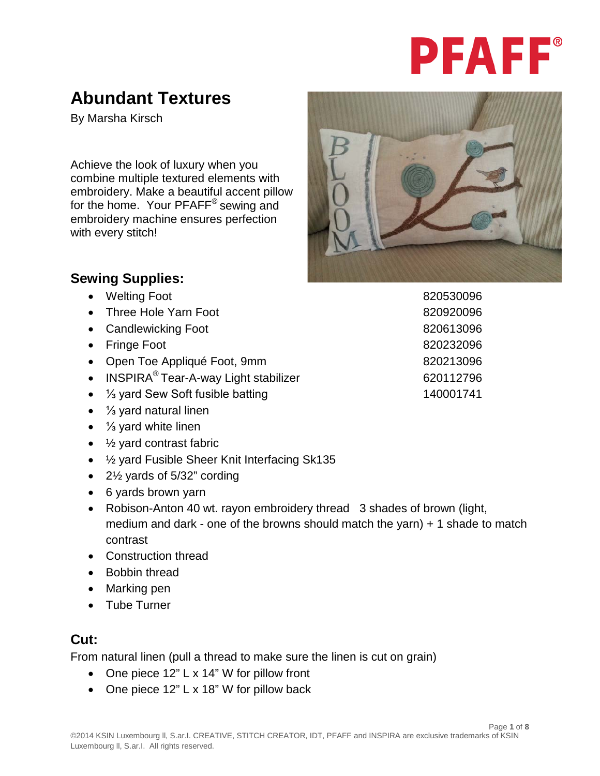# **PFAFF®**

## **Abundant Textures**

By Marsha Kirsch

Achieve the look of luxury when you combine multiple textured elements with embroidery. Make a beautiful accent pillow for the home. Your PFAFF<sup>®</sup> sewing and embroidery machine ensures perfection with every stitch!



## **Sewing Supplies:**

- Welting Foot 820530096
- Three Hole Yarn Foot 820920096
- Candlewicking Foot 820613096
- Fringe Foot 820232096
- Open Toe Appliqué Foot, 9mm
- INSPIRA<sup>®</sup> Tear-A-way Light stabilizer 620112796
- ⅓ yard Sew Soft fusible batting 140001741
- ⅓ yard natural linen
- ⅓ yard white linen
- $\bullet$   $\frac{1}{2}$  yard contrast fabric
- ½ yard Fusible Sheer Knit Interfacing Sk135
- 2½ yards of 5/32" cording
- 6 yards brown yarn
- Robison-Anton 40 wt. rayon embroidery thread 3 shades of brown (light, medium and dark - one of the browns should match the yarn) + 1 shade to match contrast
- Construction thread
- Bobbin thread
- Marking pen
- Tube Turner

## **Cut:**

From natural linen (pull a thread to make sure the linen is cut on grain)

- One piece 12" L x 14" W for pillow front
- One piece 12" L x 18" W for pillow back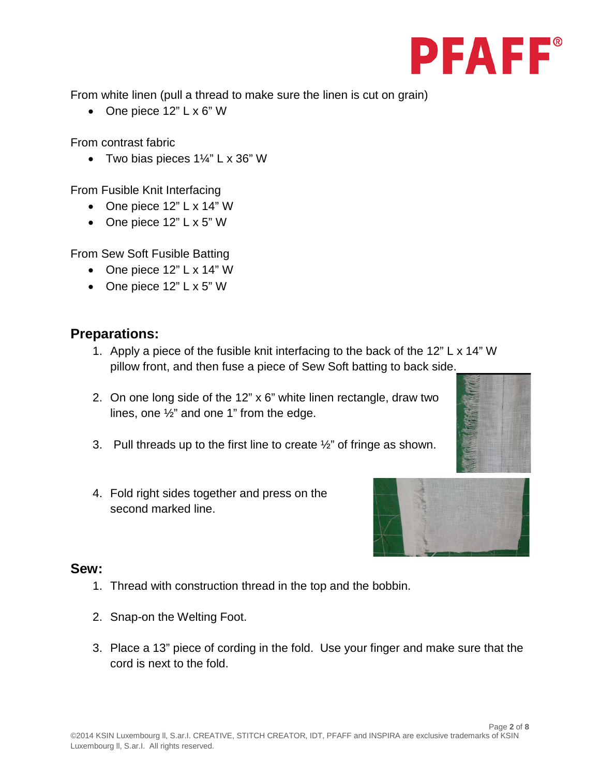

From white linen (pull a thread to make sure the linen is cut on grain)

• One piece 12" L x 6" W

From contrast fabric

• Two bias pieces  $1\frac{1}{4}$ " L x 36" W

From Fusible Knit Interfacing

- One piece 12" L x 14" W
- One piece 12" L x 5" W

From Sew Soft Fusible Batting

- One piece 12" L x 14" W
- One piece 12" L x 5" W

#### **Preparations:**

- 1. Apply a piece of the fusible knit interfacing to the back of the 12" L x 14" W pillow front, and then fuse a piece of Sew Soft batting to back side.
- 2. On one long side of the 12" x 6" white linen rectangle, draw two lines, one ½" and one 1" from the edge.
- 3. Pull threads up to the first line to create  $\frac{1}{2}$ " of fringe as shown.
- 4. Fold right sides together and press on the second marked line.



#### **Sew:**

- 1. Thread with construction thread in the top and the bobbin.
- 2. Snap-on the Welting Foot.
- 3. Place a 13" piece of cording in the fold. Use your finger and make sure that the cord is next to the fold.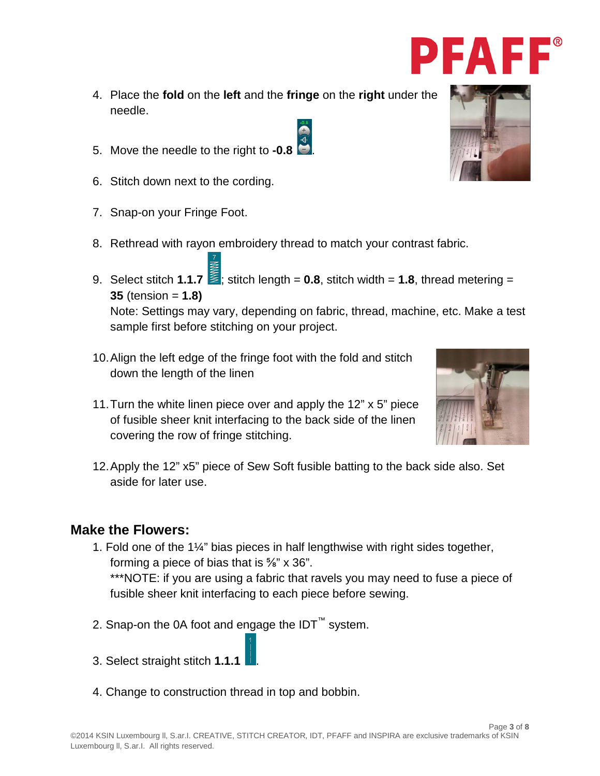- 4. Place the **fold** on the **left** and the **fringe** on the **right** under the needle.
- 5. Move the needle to the right to **-0.8** .
- 6. Stitch down next to the cording.
- 7. Snap-on your Fringe Foot.
- 8. Rethread with rayon embroidery thread to match your contrast fabric.
- 9. Select stitch **1.1.7**  $\leq$  stitch length = **0.8**, stitch width = **1.8**, thread metering = **35** (tension = **1.8)** Note: Settings may vary, depending on fabric, thread, machine, etc. Make a test sample first before stitching on your project.
- 10.Align the left edge of the fringe foot with the fold and stitch down the length of the linen
- 11.Turn the white linen piece over and apply the 12" x 5" piece of fusible sheer knit interfacing to the back side of the linen covering the row of fringe stitching.
- 12.Apply the 12" x5" piece of Sew Soft fusible batting to the back side also. Set aside for later use.

### **Make the Flowers:**

- 1. Fold one of the 1¼" bias pieces in half lengthwise with right sides together, forming a piece of bias that is ⅝" x 36". \*\*\*NOTE: if you are using a fabric that ravels you may need to fuse a piece of fusible sheer knit interfacing to each piece before sewing.
- 2. Snap-on the 0A foot and engage the  $IDT<sup>™</sup>$  system.
- 3. Select straight stitch **1.1.1** .
- 4. Change to construction thread in top and bobbin.







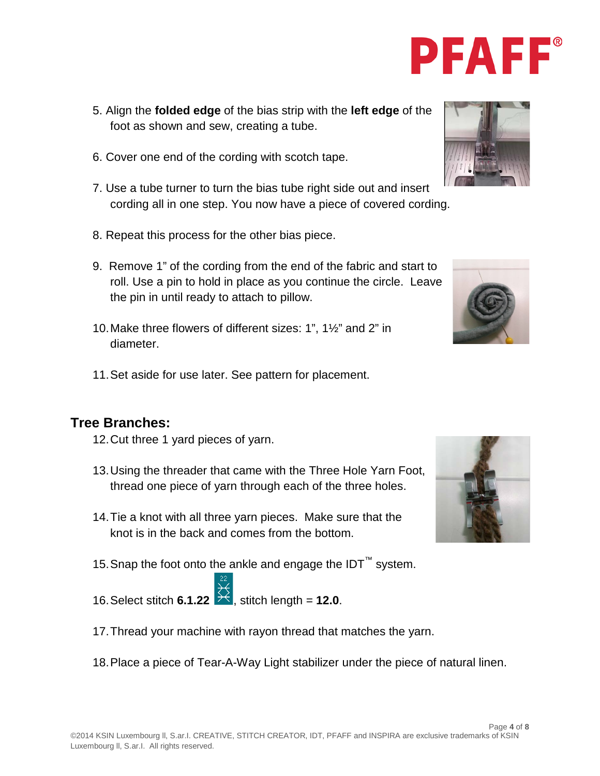- 5. Align the **folded edge** of the bias strip with the **left edge** of the foot as shown and sew, creating a tube.
- 6. Cover one end of the cording with scotch tape.
- 7. Use a tube turner to turn the bias tube right side out and insert cording all in one step. You now have a piece of covered cording.
- 8. Repeat this process for the other bias piece.
- 9. Remove 1" of the cording from the end of the fabric and start to roll. Use a pin to hold in place as you continue the circle. Leave the pin in until ready to attach to pillow.
- 10.Make three flowers of different sizes: 1", 1½" and 2" in diameter.
- 11.Set aside for use later. See pattern for placement.

#### **Tree Branches:**

- 12.Cut three 1 yard pieces of yarn.
- 13.Using the threader that came with the Three Hole Yarn Foot, thread one piece of yarn through each of the three holes.
- 14.Tie a knot with all three yarn pieces. Make sure that the knot is in the back and comes from the bottom.
- 15. Snap the foot onto the ankle and engage the IDT<sup>™</sup> system.
- 16. Select stitch **6.1.22**  $\overrightarrow{)}$  stitch length = **12.0**.
- 17.Thread your machine with rayon thread that matches the yarn.
- 18.Place a piece of Tear-A-Way Light stabilizer under the piece of natural linen.







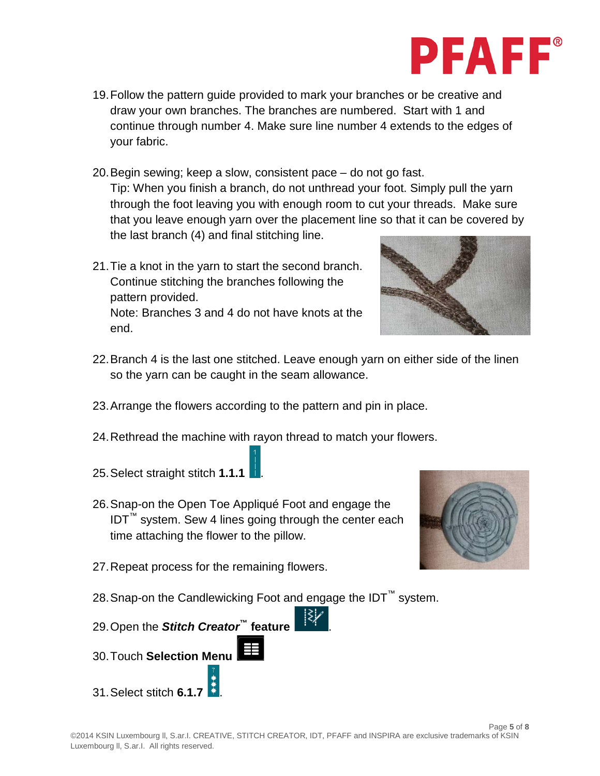

- 19.Follow the pattern guide provided to mark your branches or be creative and draw your own branches. The branches are numbered. Start with 1 and continue through number 4. Make sure line number 4 extends to the edges of your fabric.
- 20.Begin sewing; keep a slow, consistent pace do not go fast. Tip: When you finish a branch, do not unthread your foot. Simply pull the yarn through the foot leaving you with enough room to cut your threads. Make sure that you leave enough yarn over the placement line so that it can be covered by the last branch (4) and final stitching line.
- 21.Tie a knot in the yarn to start the second branch. Continue stitching the branches following the pattern provided. Note: Branches 3 and 4 do not have knots at the end.



- 22.Branch 4 is the last one stitched. Leave enough yarn on either side of the linen so the yarn can be caught in the seam allowance.
- 23.Arrange the flowers according to the pattern and pin in place.
- 24.Rethread the machine with rayon thread to match your flowers.
- 25.Select straight stitch **1.1.1** .
- 26.Snap-on the Open Toe Appliqué Foot and engage the IDT™ system. Sew 4 lines going through the center each time attaching the flower to the pillow.
- 27.Repeat process for the remaining flowers.



- 28. Snap-on the Candlewicking Foot and engage the IDT<sup>™</sup> system.
- 29.Open the *Stitch Creator***™ feature** .
- 30.Touch **Selection Menu**
- 31.Select stitch **6.1.7** .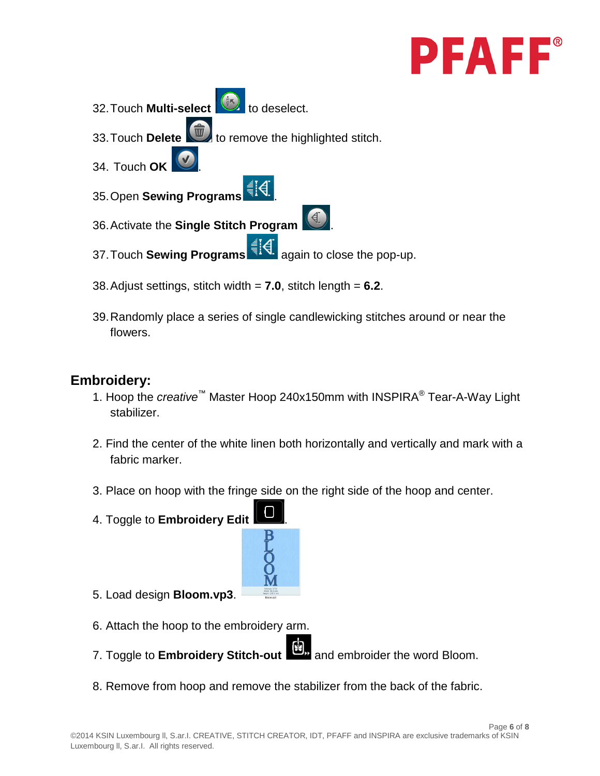

- 32. Touch **Multi-select**  $\left(\frac{1}{2}\right)$  to deselect.
- 33. Touch **Delete to remove the highlighted stitch.**
- 34. Touch **OK** .
- 35. Open **Sewing Programs**  $\frac{1}{3}$ .
- 36.Activate the **Single Stitch Program** .
- 37. Touch **Sewing Programs**  $\frac{1}{3}$  A. again to close the pop-up.
- 38.Adjust settings, stitch width = **7.0**, stitch length = **6.2**.
- 39.Randomly place a series of single candlewicking stitches around or near the flowers.

## **Embroidery:**

- 1. Hoop the *creative*™ Master Hoop 240x150mm with INSPIRA® Tear-A-Way Light stabilizer.
- 2. Find the center of the white linen both horizontally and vertically and mark with a fabric marker.
- 3. Place on hoop with the fringe side on the right side of the hoop and center.
- 4. Toggle to **Embroidery Edit** .



- 5. Load design **Bloom.vp3**.
- 6. Attach the hoop to the embroidery arm.
- 7. Toggle to **Embroidery Stitch-out** and embroider the word Bloom.
- 8. Remove from hoop and remove the stabilizer from the back of the fabric.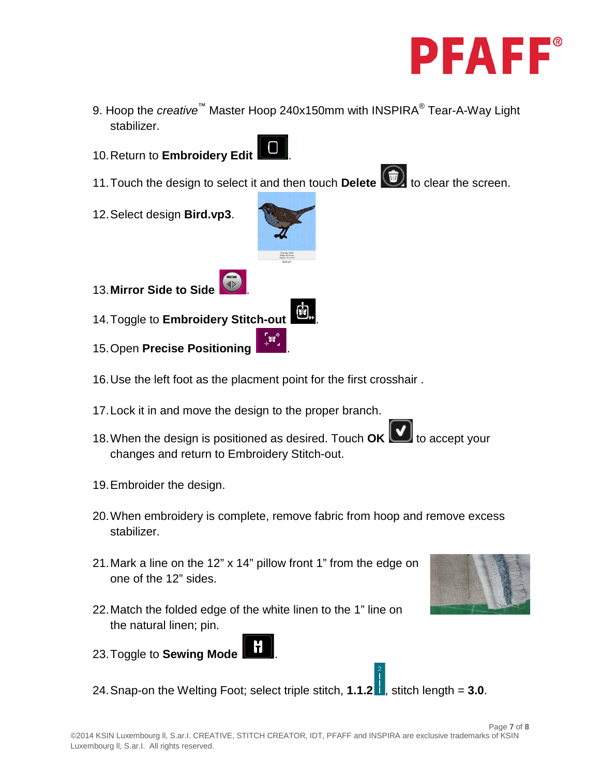

- 9. Hoop the *creative*™ Master Hoop 240x150mm with INSPIRA® Tear-A-Way Light stabilizer.
- 10.Return to **Embroidery Edit** .



- 11. Touch the design to select it and then touch **Delete the detail that it and the screen.**
- 12.Select design **Bird.vp3**.



- 14.Toggle to **Embroidery Stitch-out** .
- 15.Open **Precise Positioning** .
- 16.Use the left foot as the placment point for the first crosshair .
- 17.Lock it in and move the design to the proper branch.
- 18. When the design is positioned as desired. Touch **OK to accept your** changes and return to Embroidery Stitch-out.
- 19.Embroider the design.
- 20.When embroidery is complete, remove fabric from hoop and remove excess stabilizer.
- 21.Mark a line on the 12" x 14" pillow front 1" from the edge on one of the 12" sides.
- 22.Match the folded edge of the white linen to the 1" line on the natural linen; pin.
- 23.Toggle to **Sewing Mode** .
- 24. Snap-on the Welting Foot; select triple stitch,  $1.1.2$ , stitch length =  $3.0$ .